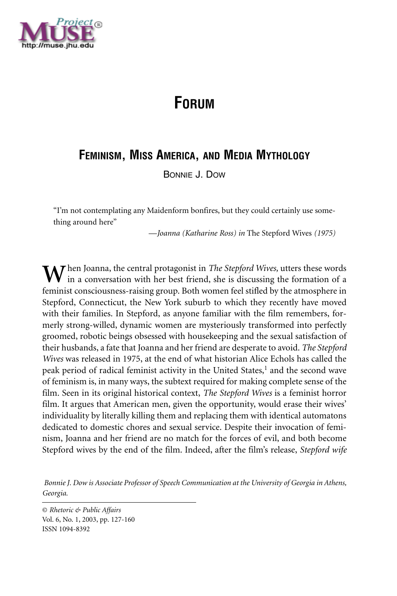

# **FEMINISM, MISS AMERICA, AND MEDIA MYTHOLOGY**

BONNIE J. DOW

"I'm not contemplating any Maidenform bonfires, but they could certainly use something around here"

—*Joanna (Katharine Ross) in* The Stepford Wives *(1975)*

**M**  $\Lambda$ <sup>*T*</sup> hen Joanna, the central protagonist in *The Stepford Wives*, utters these words in a conversation with her best friend, she is discussing the formation of a feminist consciousness-raising group. Both women feel stifled by the atmosphere in Stepford, Connecticut, the New York suburb to which they recently have moved with their families. In Stepford, as anyone familiar with the film remembers, formerly strong-willed, dynamic women are mysteriously transformed into perfectly groomed, robotic beings obsessed with housekeeping and the sexual satisfaction of their husbands, a fate that Joanna and her friend are desperate to avoid. *The Stepford Wives* was released in 1975, at the end of what historian Alice Echols has called the peak period of radical feminist activity in the United States, $<sup>1</sup>$  and the second wave</sup> of feminism is, in many ways, the subtext required for making complete sense of the film. Seen in its original historical context, *The Stepford Wives* is a feminist horror film. It argues that American men, given the opportunity, would erase their wives' individuality by literally killing them and replacing them with identical automatons dedicated to domestic chores and sexual service. Despite their invocation of feminism, Joanna and her friend are no match for the forces of evil, and both become Stepford wives by the end of the film. Indeed, after the film's release, *Stepford wife*

*Bonnie J. Dow is Associate Professor of Speech Communication at the University of Georgia in Athens, Georgia.*

<sup>©</sup> *Rhetoric & Public Affairs* Vol. 6, No. 1, 2003, pp. 127-160 ISSN 1094-8392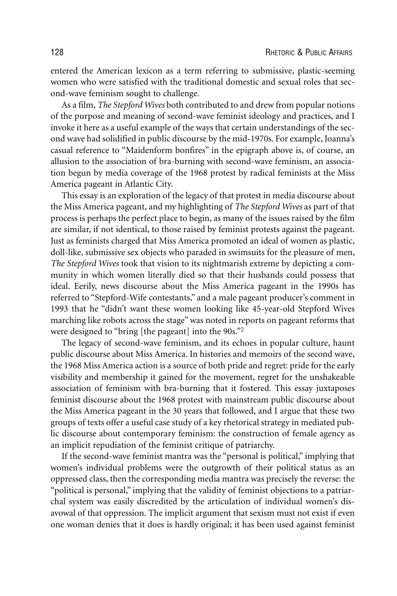entered the American lexicon as a term referring to submissive, plastic-seeming women who were satisfied with the traditional domestic and sexual roles that second-wave feminism sought to challenge.

As a film, *The Stepford Wives* both contributed to and drew from popular notions of the purpose and meaning of second-wave feminist ideology and practices, and I invoke it here as a useful example of the ways that certain understandings of the second wave had solidified in public discourse by the mid-1970s. For example, Joanna's casual reference to "Maidenform bonfires" in the epigraph above is, of course, an allusion to the association of bra-burning with second-wave feminism, an association begun by media coverage of the 1968 protest by radical feminists at the Miss America pageant in Atlantic City.

This essay is an exploration of the legacy of that protest in media discourse about the Miss America pageant, and my highlighting of *The Stepford Wives* as part of that process is perhaps the perfect place to begin, as many of the issues raised by the film are similar, if not identical, to those raised by feminist protests against the pageant. Just as feminists charged that Miss America promoted an ideal of women as plastic, doll-like, submissive sex objects who paraded in swimsuits for the pleasure of men, *The Stepford Wives* took that vision to its nightmarish extreme by depicting a community in which women literally died so that their husbands could possess that ideal. Eerily, news discourse about the Miss America pageant in the 1990s has referred to "Stepford-Wife contestants," and a male pageant producer's comment in 1993 that he "didn't want these women looking like 45-year-old Stepford Wives marching like robots across the stage" was noted in reports on pageant reforms that were designed to "bring [the pageant] into the 90s."<sup>2</sup>

The legacy of second-wave feminism, and its echoes in popular culture, haunt public discourse about Miss America. In histories and memoirs of the second wave, the 1968 Miss America action is a source of both pride and regret: pride for the early visibility and membership it gained for the movement, regret for the unshakeable association of feminism with bra-burning that it fostered. This essay juxtaposes feminist discourse about the 1968 protest with mainstream public discourse about the Miss America pageant in the 30 years that followed, and I argue that these two groups of texts offer a useful case study of a key rhetorical strategy in mediated public discourse about contemporary feminism: the construction of female agency as an implicit repudiation of the feminist critique of patriarchy.

If the second-wave feminist mantra was the "personal is political," implying that women's individual problems were the outgrowth of their political status as an oppressed class, then the corresponding media mantra was precisely the reverse: the "political is personal," implying that the validity of feminist objections to a patriarchal system was easily discredited by the articulation of individual women's disavowal of that oppression. The implicit argument that sexism must not exist if even one woman denies that it does is hardly original; it has been used against feminist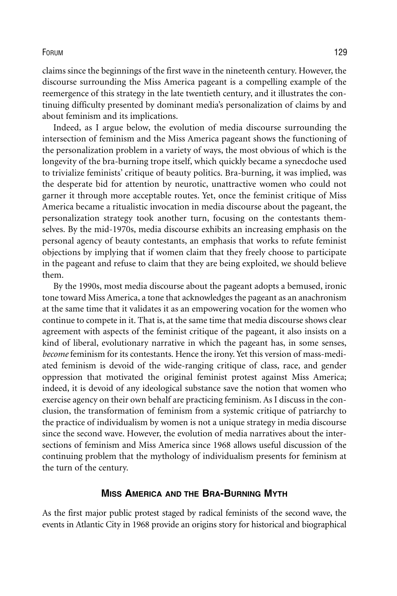claims since the beginnings of the first wave in the nineteenth century. However, the discourse surrounding the Miss America pageant is a compelling example of the reemergence of this strategy in the late twentieth century, and it illustrates the continuing difficulty presented by dominant media's personalization of claims by and about feminism and its implications.

Indeed, as I argue below, the evolution of media discourse surrounding the intersection of feminism and the Miss America pageant shows the functioning of the personalization problem in a variety of ways, the most obvious of which is the longevity of the bra-burning trope itself, which quickly became a synecdoche used to trivialize feminists' critique of beauty politics. Bra-burning, it was implied, was the desperate bid for attention by neurotic, unattractive women who could not garner it through more acceptable routes. Yet, once the feminist critique of Miss America became a ritualistic invocation in media discourse about the pageant, the personalization strategy took another turn, focusing on the contestants themselves. By the mid-1970s, media discourse exhibits an increasing emphasis on the personal agency of beauty contestants, an emphasis that works to refute feminist objections by implying that if women claim that they freely choose to participate in the pageant and refuse to claim that they are being exploited, we should believe them.

By the 1990s, most media discourse about the pageant adopts a bemused, ironic tone toward Miss America, a tone that acknowledges the pageant as an anachronism at the same time that it validates it as an empowering vocation for the women who continue to compete in it. That is, at the same time that media discourse shows clear agreement with aspects of the feminist critique of the pageant, it also insists on a kind of liberal, evolutionary narrative in which the pageant has, in some senses, *become* feminism for its contestants. Hence the irony. Yet this version of mass-mediated feminism is devoid of the wide-ranging critique of class, race, and gender oppression that motivated the original feminist protest against Miss America; indeed, it is devoid of any ideological substance save the notion that women who exercise agency on their own behalf are practicing feminism. As I discuss in the conclusion, the transformation of feminism from a systemic critique of patriarchy to the practice of individualism by women is not a unique strategy in media discourse since the second wave. However, the evolution of media narratives about the intersections of feminism and Miss America since 1968 allows useful discussion of the continuing problem that the mythology of individualism presents for feminism at the turn of the century.

# **MISS AMERICA AND THE BRA-BURNING MYTH**

As the first major public protest staged by radical feminists of the second wave, the events in Atlantic City in 1968 provide an origins story for historical and biographical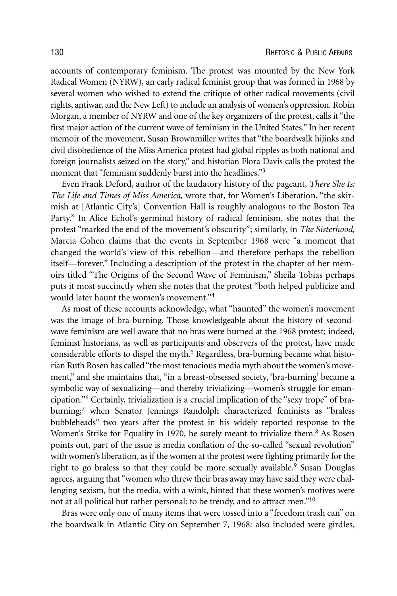accounts of contemporary feminism. The protest was mounted by the New York Radical Women (NYRW), an early radical feminist group that was formed in 1968 by several women who wished to extend the critique of other radical movements (civil rights, antiwar, and the New Left) to include an analysis of women's oppression. Robin Morgan, a member of NYRW and one of the key organizers of the protest, calls it "the first major action of the current wave of feminism in the United States." In her recent memoir of the movement, Susan Brownmiller writes that "the boardwalk hijinks and civil disobedience of the Miss America protest had global ripples as both national and foreign journalists seized on the story," and historian Flora Davis calls the protest the moment that "feminism suddenly burst into the headlines."<sup>3</sup>

Even Frank Deford, author of the laudatory history of the pageant, *There She Is: The Life and Times of Miss America,* wrote that, for Women's Liberation, "the skirmish at [Atlantic City's] Convention Hall is roughly analogous to the Boston Tea Party." In Alice Echol's germinal history of radical feminism, she notes that the protest "marked the end of the movement's obscurity"; similarly, in *The Sisterhood,* Marcia Cohen claims that the events in September 1968 were "a moment that changed the world's view of this rebellion—and therefore perhaps the rebellion itself—forever." Including a description of the protest in the chapter of her memoirs titled "The Origins of the Second Wave of Feminism," Sheila Tobias perhaps puts it most succinctly when she notes that the protest "both helped publicize and would later haunt the women's movement."4

As most of these accounts acknowledge, what "haunted" the women's movement was the image of bra-burning. Those knowledgeable about the history of secondwave feminism are well aware that no bras were burned at the 1968 protest; indeed, feminist historians, as well as participants and observers of the protest, have made considerable efforts to dispel the myth.<sup>5</sup> Regardless, bra-burning became what historian Ruth Rosen has called "the most tenacious media myth about the women's movement," and she maintains that, "in a breast-obsessed society, 'bra-burning' became a symbolic way of sexualizing—and thereby trivializing—women's struggle for emancipation."6 Certainly, trivialization is a crucial implication of the "sexy trope" of braburning;7 when Senator Jennings Randolph characterized feminists as "braless bubbleheads" two years after the protest in his widely reported response to the Women's Strike for Equality in 1970, he surely meant to trivialize them.<sup>8</sup> As Rosen points out, part of the issue is media conflation of the so-called "sexual revolution" with women's liberation, as if the women at the protest were fighting primarily for the right to go braless so that they could be more sexually available.<sup>9</sup> Susan Douglas agrees, arguing that "women who threw their bras away may have said they were challenging sexism, but the media, with a wink, hinted that these women's motives were not at all political but rather personal: to be trendy, and to attract men."10

Bras were only one of many items that were tossed into a "freedom trash can" on the boardwalk in Atlantic City on September 7, 1968: also included were girdles,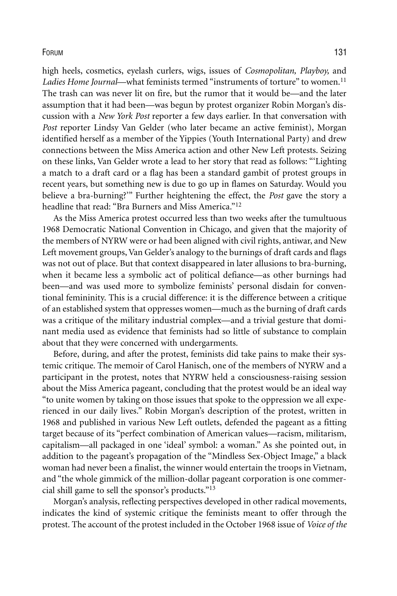high heels, cosmetics, eyelash curlers, wigs, issues of *Cosmopolitan, Playboy,* and Ladies Home Journal—what feminists termed "instruments of torture" to women.<sup>11</sup> The trash can was never lit on fire, but the rumor that it would be—and the later assumption that it had been—was begun by protest organizer Robin Morgan's discussion with a *New York Post* reporter a few days earlier. In that conversation with *Post* reporter Lindsy Van Gelder (who later became an active feminist), Morgan identified herself as a member of the Yippies (Youth International Party) and drew connections between the Miss America action and other New Left protests. Seizing on these links, Van Gelder wrote a lead to her story that read as follows: "'Lighting a match to a draft card or a flag has been a standard gambit of protest groups in recent years, but something new is due to go up in flames on Saturday. Would you believe a bra-burning?'" Further heightening the effect, the *Post* gave the story a headline that read: "Bra Burners and Miss America."<sup>12</sup>

As the Miss America protest occurred less than two weeks after the tumultuous 1968 Democratic National Convention in Chicago, and given that the majority of the members of NYRW were or had been aligned with civil rights, antiwar, and New Left movement groups, Van Gelder's analogy to the burnings of draft cards and flags was not out of place. But that context disappeared in later allusions to bra-burning, when it became less a symbolic act of political defiance—as other burnings had been—and was used more to symbolize feminists' personal disdain for conventional femininity. This is a crucial difference: it is the difference between a critique of an established system that oppresses women—much as the burning of draft cards was a critique of the military industrial complex—and a trivial gesture that dominant media used as evidence that feminists had so little of substance to complain about that they were concerned with undergarments.

Before, during, and after the protest, feminists did take pains to make their systemic critique. The memoir of Carol Hanisch, one of the members of NYRW and a participant in the protest, notes that NYRW held a consciousness-raising session about the Miss America pageant, concluding that the protest would be an ideal way "to unite women by taking on those issues that spoke to the oppression we all experienced in our daily lives." Robin Morgan's description of the protest, written in 1968 and published in various New Left outlets, defended the pageant as a fitting target because of its "perfect combination of American values—racism, militarism, capitalism—all packaged in one 'ideal' symbol: a woman." As she pointed out, in addition to the pageant's propagation of the "Mindless Sex-Object Image," a black woman had never been a finalist, the winner would entertain the troops in Vietnam, and "the whole gimmick of the million-dollar pageant corporation is one commercial shill game to sell the sponsor's products."<sup>13</sup>

Morgan's analysis, reflecting perspectives developed in other radical movements, indicates the kind of systemic critique the feminists meant to offer through the protest. The account of the protest included in the October 1968 issue of *Voice of the*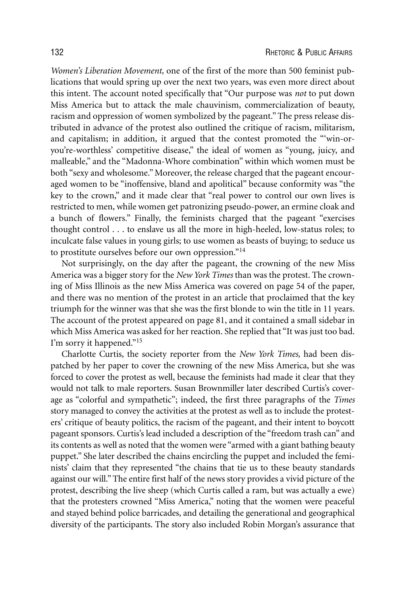*Women's Liberation Movement,* one of the first of the more than 500 feminist publications that would spring up over the next two years, was even more direct about this intent. The account noted specifically that "Our purpose was *not* to put down Miss America but to attack the male chauvinism, commercialization of beauty, racism and oppression of women symbolized by the pageant." The press release distributed in advance of the protest also outlined the critique of racism, militarism, and capitalism; in addition, it argued that the contest promoted the "'win-oryou're-worthless' competitive disease," the ideal of women as "young, juicy, and malleable," and the "Madonna-Whore combination" within which women must be both "sexy and wholesome." Moreover, the release charged that the pageant encouraged women to be "inoffensive, bland and apolitical" because conformity was "the key to the crown," and it made clear that "real power to control our own lives is restricted to men, while women get patronizing pseudo-power, an ermine cloak and a bunch of flowers." Finally, the feminists charged that the pageant "exercises thought control . . . to enslave us all the more in high-heeled, low-status roles; to inculcate false values in young girls; to use women as beasts of buying; to seduce us to prostitute ourselves before our own oppression."<sup>14</sup>

Not surprisingly, on the day after the pageant, the crowning of the new Miss America was a bigger story for the *New York Times* than was the protest. The crowning of Miss Illinois as the new Miss America was covered on page 54 of the paper, and there was no mention of the protest in an article that proclaimed that the key triumph for the winner was that she was the first blonde to win the title in 11 years. The account of the protest appeared on page 81, and it contained a small sidebar in which Miss America was asked for her reaction. She replied that "It was just too bad. I'm sorry it happened."15

Charlotte Curtis, the society reporter from the *New York Times,* had been dispatched by her paper to cover the crowning of the new Miss America, but she was forced to cover the protest as well, because the feminists had made it clear that they would not talk to male reporters. Susan Brownmiller later described Curtis's coverage as "colorful and sympathetic"; indeed, the first three paragraphs of the *Times* story managed to convey the activities at the protest as well as to include the protesters' critique of beauty politics, the racism of the pageant, and their intent to boycott pageant sponsors. Curtis's lead included a description of the "freedom trash can" and its contents as well as noted that the women were "armed with a giant bathing beauty puppet." She later described the chains encircling the puppet and included the feminists' claim that they represented "the chains that tie us to these beauty standards against our will." The entire first half of the news story provides a vivid picture of the protest, describing the live sheep (which Curtis called a ram, but was actually a ewe) that the protesters crowned "Miss America," noting that the women were peaceful and stayed behind police barricades, and detailing the generational and geographical diversity of the participants. The story also included Robin Morgan's assurance that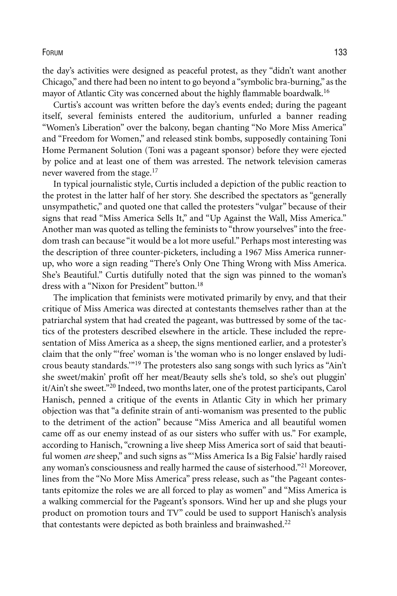the day's activities were designed as peaceful protest, as they "didn't want another Chicago," and there had been no intent to go beyond a "symbolic bra-burning," as the mayor of Atlantic City was concerned about the highly flammable boardwalk.<sup>16</sup>

Curtis's account was written before the day's events ended; during the pageant itself, several feminists entered the auditorium, unfurled a banner reading "Women's Liberation" over the balcony, began chanting "No More Miss America" and "Freedom for Women," and released stink bombs, supposedly containing Toni Home Permanent Solution (Toni was a pageant sponsor) before they were ejected by police and at least one of them was arrested. The network television cameras never wavered from the stage.<sup>17</sup>

In typical journalistic style, Curtis included a depiction of the public reaction to the protest in the latter half of her story. She described the spectators as "generally unsympathetic," and quoted one that called the protesters "vulgar" because of their signs that read "Miss America Sells It," and "Up Against the Wall, Miss America." Another man was quoted as telling the feminists to "throw yourselves" into the freedom trash can because "it would be a lot more useful." Perhaps most interesting was the description of three counter-picketers, including a 1967 Miss America runnerup, who wore a sign reading "There's Only One Thing Wrong with Miss America. She's Beautiful." Curtis dutifully noted that the sign was pinned to the woman's dress with a "Nixon for President" button.18

The implication that feminists were motivated primarily by envy, and that their critique of Miss America was directed at contestants themselves rather than at the patriarchal system that had created the pageant, was buttressed by some of the tactics of the protesters described elsewhere in the article. These included the representation of Miss America as a sheep, the signs mentioned earlier, and a protester's claim that the only "'free' woman is 'the woman who is no longer enslaved by ludicrous beauty standards.'"19 The protesters also sang songs with such lyrics as "Ain't she sweet/makin' profit off her meat/Beauty sells she's told, so she's out pluggin' it/Ain't she sweet."<sup>20</sup> Indeed, two months later, one of the protest participants, Carol Hanisch, penned a critique of the events in Atlantic City in which her primary objection was that "a definite strain of anti-womanism was presented to the public to the detriment of the action" because "Miss America and all beautiful women came off as our enemy instead of as our sisters who suffer with us." For example, according to Hanisch, "crowning a live sheep Miss America sort of said that beautiful women *are* sheep," and such signs as "'Miss America Is a Big Falsie' hardly raised any woman's consciousness and really harmed the cause of sisterhood."<sup>21</sup> Moreover, lines from the "No More Miss America" press release, such as "the Pageant contestants epitomize the roles we are all forced to play as women" and "Miss America is a walking commercial for the Pageant's sponsors. Wind her up and she plugs your product on promotion tours and TV" could be used to support Hanisch's analysis that contestants were depicted as both brainless and brainwashed.<sup>22</sup>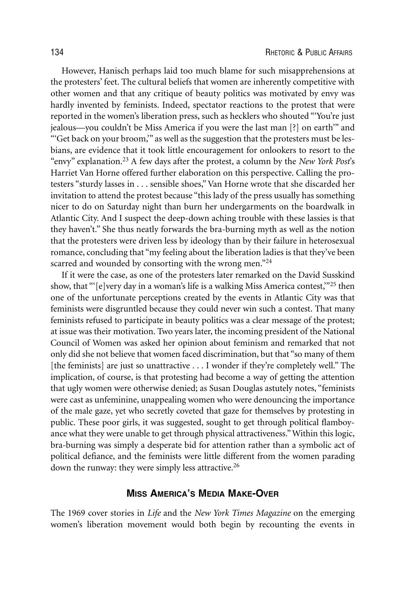However, Hanisch perhaps laid too much blame for such misapprehensions at the protesters' feet. The cultural beliefs that women are inherently competitive with other women and that any critique of beauty politics was motivated by envy was hardly invented by feminists. Indeed, spectator reactions to the protest that were reported in the women's liberation press, such as hecklers who shouted "'You're just jealous—you couldn't be Miss America if you were the last man [?] on earth'" and "'Get back on your broom,'" as well as the suggestion that the protesters must be lesbians, are evidence that it took little encouragement for onlookers to resort to the "envy" explanation.23 A few days after the protest, a column by the *New York Post*'s Harriet Van Horne offered further elaboration on this perspective. Calling the protesters "sturdy lasses in . . . sensible shoes," Van Horne wrote that she discarded her invitation to attend the protest because "this lady of the press usually has something nicer to do on Saturday night than burn her undergarments on the boardwalk in Atlantic City. And I suspect the deep-down aching trouble with these lassies is that they haven't." She thus neatly forwards the bra-burning myth as well as the notion that the protesters were driven less by ideology than by their failure in heterosexual romance, concluding that "my feeling about the liberation ladies is that they've been scarred and wounded by consorting with the wrong men."<sup>24</sup>

If it were the case, as one of the protesters later remarked on the David Susskind show, that "'[e]very day in a woman's life is a walking Miss America contest,"<sup>25</sup> then one of the unfortunate perceptions created by the events in Atlantic City was that feminists were disgruntled because they could never win such a contest. That many feminists refused to participate in beauty politics was a clear message of the protest; at issue was their motivation. Two years later, the incoming president of the National Council of Women was asked her opinion about feminism and remarked that not only did she not believe that women faced discrimination, but that "so many of them [the feminists] are just so unattractive . . . I wonder if they're completely well." The implication, of course, is that protesting had become a way of getting the attention that ugly women were otherwise denied; as Susan Douglas astutely notes, "feminists were cast as unfeminine, unappealing women who were denouncing the importance of the male gaze, yet who secretly coveted that gaze for themselves by protesting in public. These poor girls, it was suggested, sought to get through political flamboyance what they were unable to get through physical attractiveness." Within this logic, bra-burning was simply a desperate bid for attention rather than a symbolic act of political defiance, and the feminists were little different from the women parading down the runway: they were simply less attractive.<sup>26</sup>

# **MISS AMERICA'S MEDIA MAKE-OVER**

The 1969 cover stories in *Life* and the *New York Times Magazine* on the emerging women's liberation movement would both begin by recounting the events in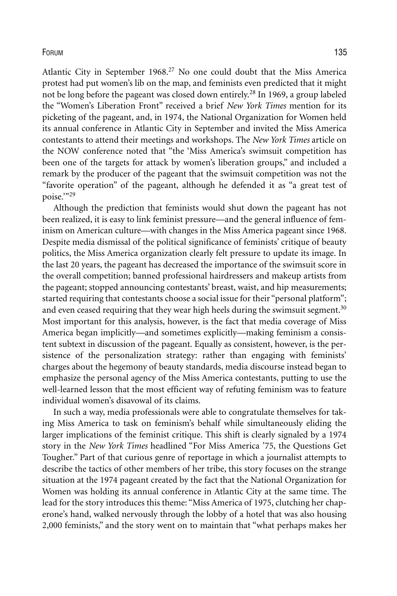Atlantic City in September 1968.<sup>27</sup> No one could doubt that the Miss America protest had put women's lib on the map, and feminists even predicted that it might not be long before the pageant was closed down entirely.<sup>28</sup> In 1969, a group labeled the "Women's Liberation Front" received a brief *New York Times* mention for its picketing of the pageant, and, in 1974, the National Organization for Women held its annual conference in Atlantic City in September and invited the Miss America contestants to attend their meetings and workshops. The *New York Times* article on the NOW conference noted that "the 'Miss America's swimsuit competition has been one of the targets for attack by women's liberation groups," and included a remark by the producer of the pageant that the swimsuit competition was not the "favorite operation" of the pageant, although he defended it as "a great test of poise.'"29

Although the prediction that feminists would shut down the pageant has not been realized, it is easy to link feminist pressure—and the general influence of feminism on American culture—with changes in the Miss America pageant since 1968. Despite media dismissal of the political significance of feminists' critique of beauty politics, the Miss America organization clearly felt pressure to update its image. In the last 20 years, the pageant has decreased the importance of the swimsuit score in the overall competition; banned professional hairdressers and makeup artists from the pageant; stopped announcing contestants' breast, waist, and hip measurements; started requiring that contestants choose a social issue for their "personal platform"; and even ceased requiring that they wear high heels during the swimsuit segment.<sup>30</sup> Most important for this analysis, however, is the fact that media coverage of Miss America began implicitly—and sometimes explicitly—making feminism a consistent subtext in discussion of the pageant. Equally as consistent, however, is the persistence of the personalization strategy: rather than engaging with feminists' charges about the hegemony of beauty standards, media discourse instead began to emphasize the personal agency of the Miss America contestants, putting to use the well-learned lesson that the most efficient way of refuting feminism was to feature individual women's disavowal of its claims.

In such a way, media professionals were able to congratulate themselves for taking Miss America to task on feminism's behalf while simultaneously eliding the larger implications of the feminist critique. This shift is clearly signaled by a 1974 story in the *New York Times* headlined "For Miss America '75, the Questions Get Tougher." Part of that curious genre of reportage in which a journalist attempts to describe the tactics of other members of her tribe, this story focuses on the strange situation at the 1974 pageant created by the fact that the National Organization for Women was holding its annual conference in Atlantic City at the same time. The lead for the story introduces this theme: "Miss America of 1975, clutching her chaperone's hand, walked nervously through the lobby of a hotel that was also housing 2,000 feminists," and the story went on to maintain that "what perhaps makes her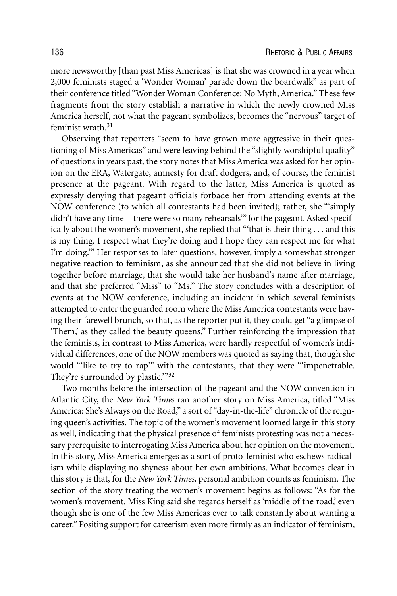more newsworthy [than past Miss Americas] is that she was crowned in a year when 2,000 feminists staged a 'Wonder Woman' parade down the boardwalk" as part of their conference titled "Wonder Woman Conference: No Myth, America." These few fragments from the story establish a narrative in which the newly crowned Miss America herself, not what the pageant symbolizes, becomes the "nervous" target of feminist wrath.31

Observing that reporters "seem to have grown more aggressive in their questioning of Miss Americas" and were leaving behind the "slightly worshipful quality" of questions in years past, the story notes that Miss America was asked for her opinion on the ERA, Watergate, amnesty for draft dodgers, and, of course, the feminist presence at the pageant. With regard to the latter, Miss America is quoted as expressly denying that pageant officials forbade her from attending events at the NOW conference (to which all contestants had been invited); rather, she "'simply didn't have any time—there were so many rehearsals'" for the pageant. Asked specifically about the women's movement, she replied that "'that is their thing . . . and this is my thing. I respect what they're doing and I hope they can respect me for what I'm doing.'" Her responses to later questions, however, imply a somewhat stronger negative reaction to feminism, as she announced that she did not believe in living together before marriage, that she would take her husband's name after marriage, and that she preferred "Miss" to "Ms." The story concludes with a description of events at the NOW conference, including an incident in which several feminists attempted to enter the guarded room where the Miss America contestants were having their farewell brunch, so that, as the reporter put it, they could get "a glimpse of 'Them,' as they called the beauty queens." Further reinforcing the impression that the feminists, in contrast to Miss America, were hardly respectful of women's individual differences, one of the NOW members was quoted as saying that, though she would "'like to try to rap'" with the contestants, that they were "'impenetrable. They're surrounded by plastic.'"32

Two months before the intersection of the pageant and the NOW convention in Atlantic City, the *New York Times* ran another story on Miss America, titled "Miss America: She's Always on the Road," a sort of "day-in-the-life" chronicle of the reigning queen's activities. The topic of the women's movement loomed large in this story as well, indicating that the physical presence of feminists protesting was not a necessary prerequisite to interrogating Miss America about her opinion on the movement. In this story, Miss America emerges as a sort of proto-feminist who eschews radicalism while displaying no shyness about her own ambitions. What becomes clear in this story is that, for the *New York Times,* personal ambition counts as feminism. The section of the story treating the women's movement begins as follows: "As for the women's movement, Miss King said she regards herself as 'middle of the road,' even though she is one of the few Miss Americas ever to talk constantly about wanting a career." Positing support for careerism even more firmly as an indicator of feminism,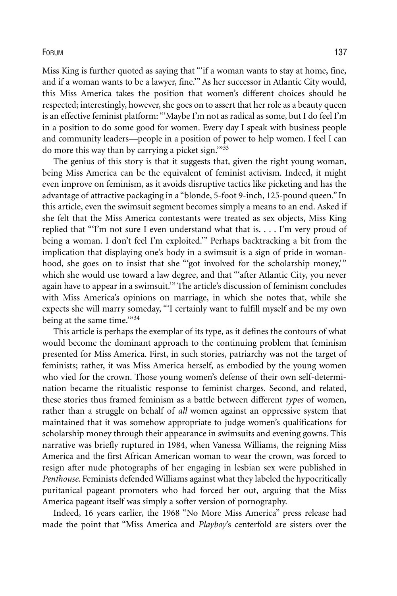Miss King is further quoted as saying that "'if a woman wants to stay at home, fine, and if a woman wants to be a lawyer, fine.'" As her successor in Atlantic City would, this Miss America takes the position that women's different choices should be respected; interestingly, however, she goes on to assert that her role as a beauty queen is an effective feminist platform: "'Maybe I'm not as radical as some, but I do feel I'm in a position to do some good for women. Every day I speak with business people and community leaders—people in a position of power to help women. I feel I can do more this way than by carrying a picket sign.'"33

The genius of this story is that it suggests that, given the right young woman, being Miss America can be the equivalent of feminist activism. Indeed, it might even improve on feminism, as it avoids disruptive tactics like picketing and has the advantage of attractive packaging in a "blonde, 5-foot 9-inch, 125-pound queen." In this article, even the swimsuit segment becomes simply a means to an end. Asked if she felt that the Miss America contestants were treated as sex objects, Miss King replied that "'I'm not sure I even understand what that is. . . . I'm very proud of being a woman. I don't feel I'm exploited.'" Perhaps backtracking a bit from the implication that displaying one's body in a swimsuit is a sign of pride in womanhood, she goes on to insist that she "'got involved for the scholarship money,'" which she would use toward a law degree, and that "'after Atlantic City, you never again have to appear in a swimsuit.'" The article's discussion of feminism concludes with Miss America's opinions on marriage, in which she notes that, while she expects she will marry someday, "'I certainly want to fulfill myself and be my own being at the same time.'"<sup>34</sup>

This article is perhaps the exemplar of its type, as it defines the contours of what would become the dominant approach to the continuing problem that feminism presented for Miss America. First, in such stories, patriarchy was not the target of feminists; rather, it was Miss America herself, as embodied by the young women who vied for the crown. Those young women's defense of their own self-determination became the ritualistic response to feminist charges. Second, and related, these stories thus framed feminism as a battle between different *types* of women, rather than a struggle on behalf of *all* women against an oppressive system that maintained that it was somehow appropriate to judge women's qualifications for scholarship money through their appearance in swimsuits and evening gowns. This narrative was briefly ruptured in 1984, when Vanessa Williams, the reigning Miss America and the first African American woman to wear the crown, was forced to resign after nude photographs of her engaging in lesbian sex were published in *Penthouse.* Feminists defended Williams against what they labeled the hypocritically puritanical pageant promoters who had forced her out, arguing that the Miss America pageant itself was simply a softer version of pornography.

Indeed, 16 years earlier, the 1968 "No More Miss America" press release had made the point that "Miss America and *Playboy*'s centerfold are sisters over the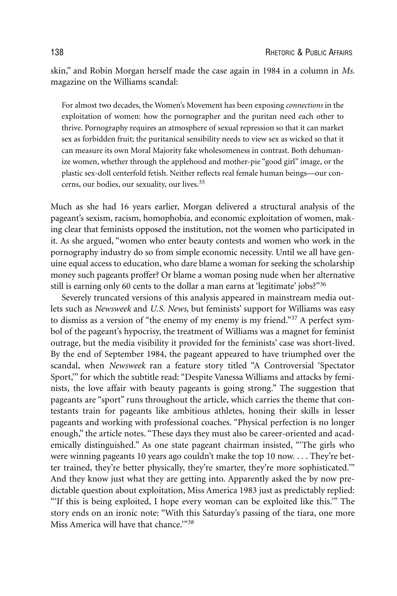skin," and Robin Morgan herself made the case again in 1984 in a column in *Ms.* magazine on the Williams scandal:

For almost two decades, the Women's Movement has been exposing *connections* in the exploitation of women: how the pornographer and the puritan need each other to thrive. Pornography requires an atmosphere of sexual repression so that it can market sex as forbidden fruit; the puritanical sensibility needs to view sex as wicked so that it can measure its own Moral Majority fake wholesomeness in contrast. Both dehumanize women, whether through the applehood and mother-pie "good girl" image, or the plastic sex-doll centerfold fetish. Neither reflects real female human beings—our concerns, our bodies, our sexuality, our lives.<sup>35</sup>

Much as she had 16 years earlier, Morgan delivered a structural analysis of the pageant's sexism, racism, homophobia, and economic exploitation of women, making clear that feminists opposed the institution, not the women who participated in it. As she argued, "women who enter beauty contests and women who work in the pornography industry do so from simple economic necessity. Until we all have genuine equal access to education, who dare blame a woman for seeking the scholarship money such pageants proffer? Or blame a woman posing nude when her alternative still is earning only 60 cents to the dollar a man earns at 'legitimate' jobs?"36

Severely truncated versions of this analysis appeared in mainstream media outlets such as *Newsweek* and *U.S. News,* but feminists' support for Williams was easy to dismiss as a version of "the enemy of my enemy is my friend."<sup>37</sup> A perfect symbol of the pageant's hypocrisy, the treatment of Williams was a magnet for feminist outrage, but the media visibility it provided for the feminists' case was short-lived. By the end of September 1984, the pageant appeared to have triumphed over the scandal, when *Newsweek* ran a feature story titled "A Controversial 'Spectator Sport,'" for which the subtitle read: "Despite Vanessa Williams and attacks by feminists, the love affair with beauty pageants is going strong." The suggestion that pageants are "sport" runs throughout the article, which carries the theme that contestants train for pageants like ambitious athletes, honing their skills in lesser pageants and working with professional coaches. "Physical perfection is no longer enough," the article notes. "These days they must also be career-oriented and academically distinguished." As one state pageant chairman insisted, "'The girls who were winning pageants 10 years ago couldn't make the top 10 now. . . . They're better trained, they're better physically, they're smarter, they're more sophisticated.'" And they know just what they are getting into. Apparently asked the by now predictable question about exploitation, Miss America 1983 just as predictably replied: "'If this is being exploited, I hope every woman can be exploited like this.'" The story ends on an ironic note: "With this Saturday's passing of the tiara, one more Miss America will have that chance.'"<sup>38</sup>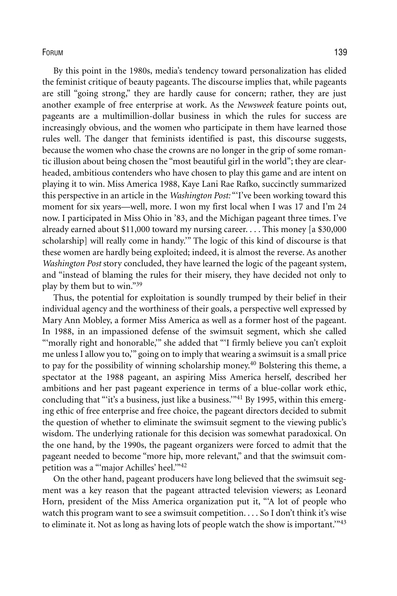By this point in the 1980s, media's tendency toward personalization has elided the feminist critique of beauty pageants. The discourse implies that, while pageants are still "going strong," they are hardly cause for concern; rather, they are just another example of free enterprise at work. As the *Newsweek* feature points out, pageants are a multimillion-dollar business in which the rules for success are increasingly obvious, and the women who participate in them have learned those rules well. The danger that feminists identified is past, this discourse suggests, because the women who chase the crowns are no longer in the grip of some romantic illusion about being chosen the "most beautiful girl in the world"; they are clearheaded, ambitious contenders who have chosen to play this game and are intent on playing it to win. Miss America 1988, Kaye Lani Rae Rafko, succinctly summarized this perspective in an article in the *Washington Post:* "'I've been working toward this moment for six years—well, more. I won my first local when I was 17 and I'm 24 now. I participated in Miss Ohio in '83, and the Michigan pageant three times. I've already earned about \$11,000 toward my nursing career....This money [a \$30,000 scholarship] will really come in handy.'" The logic of this kind of discourse is that these women are hardly being exploited; indeed, it is almost the reverse. As another *Washington Post* story concluded, they have learned the logic of the pageant system, and "instead of blaming the rules for their misery, they have decided not only to play by them but to win."39

Thus, the potential for exploitation is soundly trumped by their belief in their individual agency and the worthiness of their goals, a perspective well expressed by Mary Ann Mobley, a former Miss America as well as a former host of the pageant. In 1988, in an impassioned defense of the swimsuit segment, which she called "morally right and honorable," she added that "'I firmly believe you can't exploit me unless I allow you to,'" going on to imply that wearing a swimsuit is a small price to pay for the possibility of winning scholarship money.40 Bolstering this theme, a spectator at the 1988 pageant, an aspiring Miss America herself, described her ambitions and her past pageant experience in terms of a blue-collar work ethic, concluding that "'it's a business, just like a business."<sup>41</sup> By 1995, within this emerging ethic of free enterprise and free choice, the pageant directors decided to submit the question of whether to eliminate the swimsuit segment to the viewing public's wisdom. The underlying rationale for this decision was somewhat paradoxical. On the one hand, by the 1990s, the pageant organizers were forced to admit that the pageant needed to become "more hip, more relevant," and that the swimsuit competition was a "'major Achilles' heel.'"42

On the other hand, pageant producers have long believed that the swimsuit segment was a key reason that the pageant attracted television viewers; as Leonard Horn, president of the Miss America organization put it, "'A lot of people who watch this program want to see a swimsuit competition. . . . So I don't think it's wise to eliminate it. Not as long as having lots of people watch the show is important."<sup>43</sup>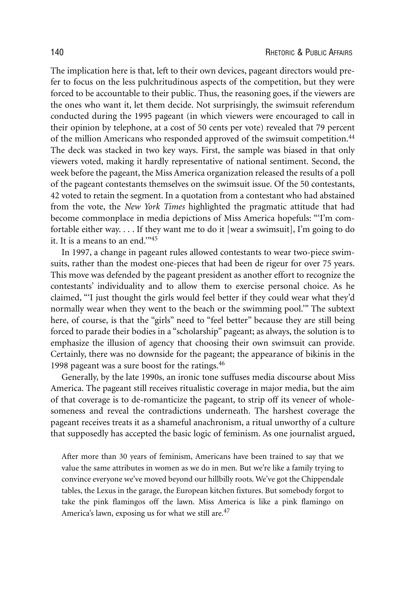The implication here is that, left to their own devices, pageant directors would prefer to focus on the less pulchritudinous aspects of the competition, but they were forced to be accountable to their public. Thus, the reasoning goes, if the viewers are the ones who want it, let them decide. Not surprisingly, the swimsuit referendum conducted during the 1995 pageant (in which viewers were encouraged to call in their opinion by telephone, at a cost of 50 cents per vote) revealed that 79 percent of the million Americans who responded approved of the swimsuit competition.<sup>44</sup> The deck was stacked in two key ways. First, the sample was biased in that only viewers voted, making it hardly representative of national sentiment. Second, the week before the pageant, the Miss America organization released the results of a poll of the pageant contestants themselves on the swimsuit issue. Of the 50 contestants, 42 voted to retain the segment. In a quotation from a contestant who had abstained from the vote, the *New York Times* highlighted the pragmatic attitude that had become commonplace in media depictions of Miss America hopefuls: "'I'm comfortable either way. . . . If they want me to do it [wear a swimsuit], I'm going to do it. It is a means to an end.'"45

In 1997, a change in pageant rules allowed contestants to wear two-piece swimsuits, rather than the modest one-pieces that had been de rigeur for over 75 years. This move was defended by the pageant president as another effort to recognize the contestants' individuality and to allow them to exercise personal choice. As he claimed, "'I just thought the girls would feel better if they could wear what they'd normally wear when they went to the beach or the swimming pool.'" The subtext here, of course, is that the "girls" need to "feel better" because they are still being forced to parade their bodies in a "scholarship" pageant; as always, the solution is to emphasize the illusion of agency that choosing their own swimsuit can provide. Certainly, there was no downside for the pageant; the appearance of bikinis in the 1998 pageant was a sure boost for the ratings.<sup>46</sup>

Generally, by the late 1990s, an ironic tone suffuses media discourse about Miss America. The pageant still receives ritualistic coverage in major media, but the aim of that coverage is to de-romanticize the pageant, to strip off its veneer of wholesomeness and reveal the contradictions underneath. The harshest coverage the pageant receives treats it as a shameful anachronism, a ritual unworthy of a culture that supposedly has accepted the basic logic of feminism. As one journalist argued,

After more than 30 years of feminism, Americans have been trained to say that we value the same attributes in women as we do in men. But we're like a family trying to convince everyone we've moved beyond our hillbilly roots. We've got the Chippendale tables, the Lexus in the garage, the European kitchen fixtures. But somebody forgot to take the pink flamingos off the lawn. Miss America is like a pink flamingo on America's lawn, exposing us for what we still are.<sup>47</sup>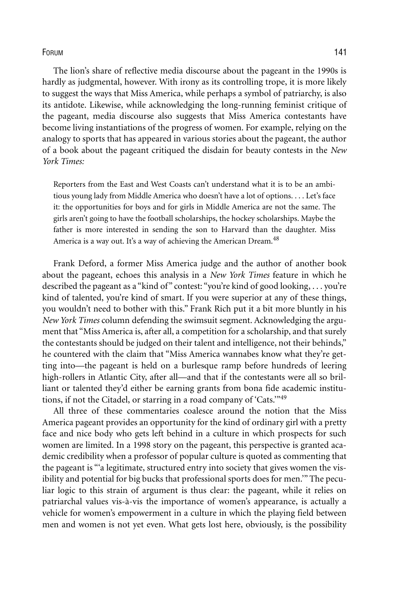The lion's share of reflective media discourse about the pageant in the 1990s is hardly as judgmental, however. With irony as its controlling trope, it is more likely to suggest the ways that Miss America, while perhaps a symbol of patriarchy, is also its antidote. Likewise, while acknowledging the long-running feminist critique of the pageant, media discourse also suggests that Miss America contestants have become living instantiations of the progress of women. For example, relying on the analogy to sports that has appeared in various stories about the pageant, the author of a book about the pageant critiqued the disdain for beauty contests in the *New York Times:*

Reporters from the East and West Coasts can't understand what it is to be an ambitious young lady from Middle America who doesn't have a lot of options. . . . Let's face it: the opportunities for boys and for girls in Middle America are not the same. The girls aren't going to have the football scholarships, the hockey scholarships. Maybe the father is more interested in sending the son to Harvard than the daughter. Miss America is a way out. It's a way of achieving the American Dream.<sup>48</sup>

Frank Deford, a former Miss America judge and the author of another book about the pageant, echoes this analysis in a *New York Times* feature in which he described the pageant as a "kind of" contest: "you're kind of good looking, . . . you're kind of talented, you're kind of smart. If you were superior at any of these things, you wouldn't need to bother with this." Frank Rich put it a bit more bluntly in his *New York Times* column defending the swimsuit segment. Acknowledging the argument that "Miss America is, after all, a competition for a scholarship, and that surely the contestants should be judged on their talent and intelligence, not their behinds," he countered with the claim that "Miss America wannabes know what they're getting into—the pageant is held on a burlesque ramp before hundreds of leering high-rollers in Atlantic City, after all—and that if the contestants were all so brilliant or talented they'd either be earning grants from bona fide academic institutions, if not the Citadel, or starring in a road company of 'Cats.'"<sup>49</sup>

All three of these commentaries coalesce around the notion that the Miss America pageant provides an opportunity for the kind of ordinary girl with a pretty face and nice body who gets left behind in a culture in which prospects for such women are limited. In a 1998 story on the pageant, this perspective is granted academic credibility when a professor of popular culture is quoted as commenting that the pageant is "'a legitimate, structured entry into society that gives women the visibility and potential for big bucks that professional sports does for men.'" The peculiar logic to this strain of argument is thus clear: the pageant, while it relies on patriarchal values vis-à-vis the importance of women's appearance, is actually a vehicle for women's empowerment in a culture in which the playing field between men and women is not yet even. What gets lost here, obviously, is the possibility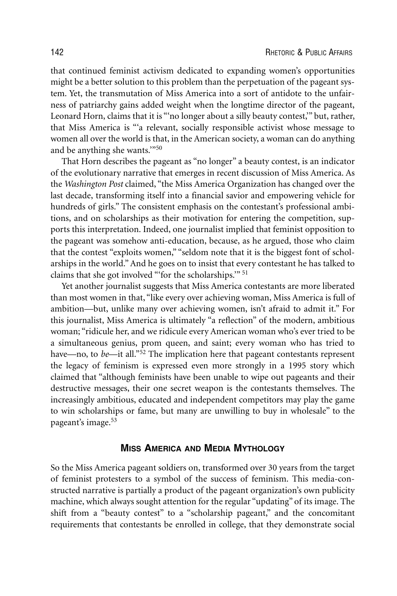that continued feminist activism dedicated to expanding women's opportunities might be a better solution to this problem than the perpetuation of the pageant system. Yet, the transmutation of Miss America into a sort of antidote to the unfairness of patriarchy gains added weight when the longtime director of the pageant, Leonard Horn, claims that it is "'no longer about a silly beauty contest,'" but, rather, that Miss America is "'a relevant, socially responsible activist whose message to women all over the world is that, in the American society, a woman can do anything and be anything she wants.'"<sup>50</sup>

That Horn describes the pageant as "no longer" a beauty contest, is an indicator of the evolutionary narrative that emerges in recent discussion of Miss America. As the *Washington Post* claimed, "the Miss America Organization has changed over the last decade, transforming itself into a financial savior and empowering vehicle for hundreds of girls." The consistent emphasis on the contestant's professional ambitions, and on scholarships as their motivation for entering the competition, supports this interpretation. Indeed, one journalist implied that feminist opposition to the pageant was somehow anti-education, because, as he argued, those who claim that the contest "exploits women," "seldom note that it is the biggest font of scholarships in the world." And he goes on to insist that every contestant he has talked to claims that she got involved "'for the scholarships.'" <sup>51</sup>

Yet another journalist suggests that Miss America contestants are more liberated than most women in that, "like every over achieving woman, Miss America is full of ambition—but, unlike many over achieving women, isn't afraid to admit it." For this journalist, Miss America is ultimately "a reflection" of the modern, ambitious woman; "ridicule her, and we ridicule every American woman who's ever tried to be a simultaneous genius, prom queen, and saint; every woman who has tried to have—no, to *be*—it all.<sup>"52</sup> The implication here that pageant contestants represent the legacy of feminism is expressed even more strongly in a 1995 story which claimed that "although feminists have been unable to wipe out pageants and their destructive messages, their one secret weapon is the contestants themselves. The increasingly ambitious, educated and independent competitors may play the game to win scholarships or fame, but many are unwilling to buy in wholesale" to the pageant's image.<sup>53</sup>

### **MISS AMERICA AND MEDIA MYTHOLOGY**

So the Miss America pageant soldiers on, transformed over 30 years from the target of feminist protesters to a symbol of the success of feminism. This media-constructed narrative is partially a product of the pageant organization's own publicity machine, which always sought attention for the regular "updating" of its image. The shift from a "beauty contest" to a "scholarship pageant," and the concomitant requirements that contestants be enrolled in college, that they demonstrate social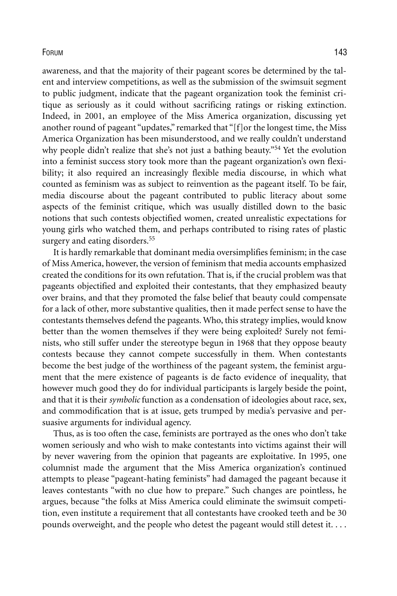awareness, and that the majority of their pageant scores be determined by the talent and interview competitions, as well as the submission of the swimsuit segment to public judgment, indicate that the pageant organization took the feminist critique as seriously as it could without sacrificing ratings or risking extinction. Indeed, in 2001, an employee of the Miss America organization, discussing yet another round of pageant "updates," remarked that "[f]or the longest time, the Miss America Organization has been misunderstood, and we really couldn't understand why people didn't realize that she's not just a bathing beauty.<sup>"54</sup> Yet the evolution into a feminist success story took more than the pageant organization's own flexibility; it also required an increasingly flexible media discourse, in which what counted as feminism was as subject to reinvention as the pageant itself. To be fair, media discourse about the pageant contributed to public literacy about some aspects of the feminist critique, which was usually distilled down to the basic notions that such contests objectified women, created unrealistic expectations for young girls who watched them, and perhaps contributed to rising rates of plastic surgery and eating disorders.<sup>55</sup>

It is hardly remarkable that dominant media oversimplifies feminism; in the case of Miss America, however, the version of feminism that media accounts emphasized created the conditions for its own refutation. That is, if the crucial problem was that pageants objectified and exploited their contestants, that they emphasized beauty over brains, and that they promoted the false belief that beauty could compensate for a lack of other, more substantive qualities, then it made perfect sense to have the contestants themselves defend the pageants. Who, this strategy implies, would know better than the women themselves if they were being exploited? Surely not feminists, who still suffer under the stereotype begun in 1968 that they oppose beauty contests because they cannot compete successfully in them. When contestants become the best judge of the worthiness of the pageant system, the feminist argument that the mere existence of pageants is de facto evidence of inequality, that however much good they do for individual participants is largely beside the point, and that it is their *symbolic* function as a condensation of ideologies about race, sex, and commodification that is at issue, gets trumped by media's pervasive and persuasive arguments for individual agency.

Thus, as is too often the case, feminists are portrayed as the ones who don't take women seriously and who wish to make contestants into victims against their will by never wavering from the opinion that pageants are exploitative. In 1995, one columnist made the argument that the Miss America organization's continued attempts to please "pageant-hating feminists" had damaged the pageant because it leaves contestants "with no clue how to prepare." Such changes are pointless, he argues, because "the folks at Miss America could eliminate the swimsuit competition, even institute a requirement that all contestants have crooked teeth and be 30 pounds overweight, and the people who detest the pageant would still detest it....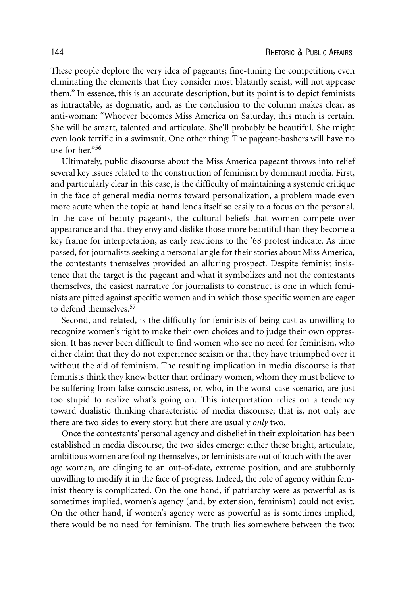These people deplore the very idea of pageants; fine-tuning the competition, even eliminating the elements that they consider most blatantly sexist, will not appease them." In essence, this is an accurate description, but its point is to depict feminists as intractable, as dogmatic, and, as the conclusion to the column makes clear, as anti-woman: "Whoever becomes Miss America on Saturday, this much is certain. She will be smart, talented and articulate. She'll probably be beautiful. She might even look terrific in a swimsuit. One other thing: The pageant-bashers will have no use for her."56

Ultimately, public discourse about the Miss America pageant throws into relief several key issues related to the construction of feminism by dominant media. First, and particularly clear in this case, is the difficulty of maintaining a systemic critique in the face of general media norms toward personalization, a problem made even more acute when the topic at hand lends itself so easily to a focus on the personal. In the case of beauty pageants, the cultural beliefs that women compete over appearance and that they envy and dislike those more beautiful than they become a key frame for interpretation, as early reactions to the '68 protest indicate. As time passed, for journalists seeking a personal angle for their stories about Miss America, the contestants themselves provided an alluring prospect. Despite feminist insistence that the target is the pageant and what it symbolizes and not the contestants themselves, the easiest narrative for journalists to construct is one in which feminists are pitted against specific women and in which those specific women are eager to defend themselves.<sup>57</sup>

Second, and related, is the difficulty for feminists of being cast as unwilling to recognize women's right to make their own choices and to judge their own oppression. It has never been difficult to find women who see no need for feminism, who either claim that they do not experience sexism or that they have triumphed over it without the aid of feminism. The resulting implication in media discourse is that feminists think they know better than ordinary women, whom they must believe to be suffering from false consciousness, or, who, in the worst-case scenario, are just too stupid to realize what's going on. This interpretation relies on a tendency toward dualistic thinking characteristic of media discourse; that is, not only are there are two sides to every story, but there are usually *only* two.

Once the contestants' personal agency and disbelief in their exploitation has been established in media discourse, the two sides emerge: either these bright, articulate, ambitious women are fooling themselves, or feminists are out of touch with the average woman, are clinging to an out-of-date, extreme position, and are stubbornly unwilling to modify it in the face of progress. Indeed, the role of agency within feminist theory is complicated. On the one hand, if patriarchy were as powerful as is sometimes implied, women's agency (and, by extension, feminism) could not exist. On the other hand, if women's agency were as powerful as is sometimes implied, there would be no need for feminism. The truth lies somewhere between the two: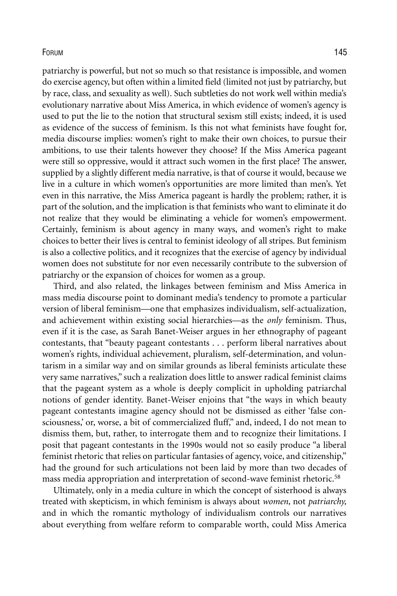patriarchy is powerful, but not so much so that resistance is impossible, and women do exercise agency, but often within a limited field (limited not just by patriarchy, but by race, class, and sexuality as well). Such subtleties do not work well within media's evolutionary narrative about Miss America, in which evidence of women's agency is used to put the lie to the notion that structural sexism still exists; indeed, it is used as evidence of the success of feminism. Is this not what feminists have fought for, media discourse implies: women's right to make their own choices, to pursue their ambitions, to use their talents however they choose? If the Miss America pageant were still so oppressive, would it attract such women in the first place? The answer, supplied by a slightly different media narrative, is that of course it would, because we live in a culture in which women's opportunities are more limited than men's. Yet even in this narrative, the Miss America pageant is hardly the problem; rather, it is part of the solution, and the implication is that feminists who want to eliminate it do not realize that they would be eliminating a vehicle for women's empowerment. Certainly, feminism is about agency in many ways, and women's right to make choices to better their lives is central to feminist ideology of all stripes. But feminism is also a collective politics, and it recognizes that the exercise of agency by individual women does not substitute for nor even necessarily contribute to the subversion of patriarchy or the expansion of choices for women as a group.

Third, and also related, the linkages between feminism and Miss America in mass media discourse point to dominant media's tendency to promote a particular version of liberal feminism—one that emphasizes individualism, self-actualization, and achievement within existing social hierarchies—as the *only* feminism. Thus, even if it is the case, as Sarah Banet-Weiser argues in her ethnography of pageant contestants, that "beauty pageant contestants . . . perform liberal narratives about women's rights, individual achievement, pluralism, self-determination, and voluntarism in a similar way and on similar grounds as liberal feminists articulate these very same narratives," such a realization does little to answer radical feminist claims that the pageant system as a whole is deeply complicit in upholding patriarchal notions of gender identity. Banet-Weiser enjoins that "the ways in which beauty pageant contestants imagine agency should not be dismissed as either 'false consciousness,' or, worse, a bit of commercialized fluff," and, indeed, I do not mean to dismiss them, but, rather, to interrogate them and to recognize their limitations. I posit that pageant contestants in the 1990s would not so easily produce "a liberal feminist rhetoric that relies on particular fantasies of agency, voice, and citizenship," had the ground for such articulations not been laid by more than two decades of mass media appropriation and interpretation of second-wave feminist rhetoric.<sup>58</sup>

Ultimately, only in a media culture in which the concept of sisterhood is always treated with skepticism, in which feminism is always about *women,* not *patriarchy,* and in which the romantic mythology of individualism controls our narratives about everything from welfare reform to comparable worth, could Miss America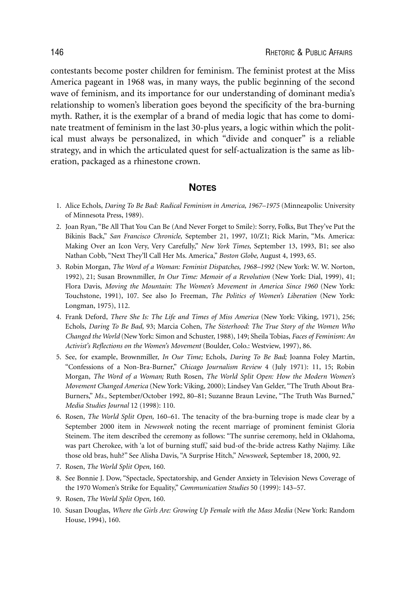contestants become poster children for feminism. The feminist protest at the Miss America pageant in 1968 was, in many ways, the public beginning of the second wave of feminism, and its importance for our understanding of dominant media's relationship to women's liberation goes beyond the specificity of the bra-burning myth. Rather, it is the exemplar of a brand of media logic that has come to dominate treatment of feminism in the last 30-plus years, a logic within which the political must always be personalized, in which "divide and conquer" is a reliable strategy, and in which the articulated quest for self-actualization is the same as liberation, packaged as a rhinestone crown.

## **NOTES**

- 1. Alice Echols, *Daring To Be Bad: Radical Feminism in America, 1967–1975* (Minneapolis: University of Minnesota Press, 1989).
- 2. Joan Ryan, "Be All That You Can Be (And Never Forget to Smile): Sorry, Folks, But They've Put the Bikinis Back," *San Francisco Chronicle,* September 21, 1997, 10/Z1; Rick Marin, "Ms. America: Making Over an Icon Very, Very Carefully," *New York Times,* September 13, 1993, B1; see also Nathan Cobb, "Next They'll Call Her Ms. America," *Boston Globe,* August 4, 1993, 65.
- 3. Robin Morgan, *The Word of a Woman: Feminist Dispatches, 1968–1992* (New York: W. W. Norton, 1992), 21; Susan Brownmiller, *In Our Time: Memoir of a Revolution* (New York: Dial, 1999), 41; Flora Davis, *Moving the Mountain: The Women's Movement in America Since 1960* (New York: Touchstone, 1991), 107. See also Jo Freeman, *The Politics of Women's Liberation* (New York: Longman, 1975), 112.
- 4. Frank Deford, *There She Is: The Life and Times of Miss America* (New York: Viking, 1971), 256; Echols, *Daring To Be Bad,* 93; Marcia Cohen, *The Sisterhood: The True Story of the Women Who Changed the World* (New York: Simon and Schuster, 1988), 149; Sheila Tobias, *Faces of Feminism: An Activist's Reflections on the Women's Movement* (Boulder, Colo.: Westview, 1997), 86.
- 5. See, for example, Brownmiller, *In Our Time;* Echols, *Daring To Be Bad;* Joanna Foley Martin, "Confessions of a Non-Bra-Burner," *Chicago Journalism Review* 4 (July 1971): 11, 15; Robin Morgan, *The Word of a Woman;* Ruth Rosen, *The World Split Open: How the Modern Women's Movement Changed America* (New York: Viking, 2000); Lindsey Van Gelder, "The Truth About Bra-Burners," *Ms.,* September/October 1992, 80–81; Suzanne Braun Levine, "The Truth Was Burned," *Media Studies Journal* 12 (1998): 110.
- 6. Rosen, *The World Split Open,* 160–61. The tenacity of the bra-burning trope is made clear by a September 2000 item in *Newsweek* noting the recent marriage of prominent feminist Gloria Steinem. The item described the ceremony as follows: "The sunrise ceremony, held in Oklahoma, was part Cherokee, with 'a lot of burning stuff,' said bud-of the-bride actress Kathy Najimy. Like those old bras, huh?" See Alisha Davis, "A Surprise Hitch," *Newsweek,* September 18, 2000, 92.
- 7. Rosen, *The World Split Open,* 160.
- 8. See Bonnie J. Dow, "Spectacle, Spectatorship, and Gender Anxiety in Television News Coverage of the 1970 Women's Strike for Equality," *Communication Studies* 50 (1999): 143–57.
- 9. Rosen, *The World Split Open,* 160.
- 10. Susan Douglas, *Where the Girls Are: Growing Up Female with the Mass Media* (New York: Random House, 1994), 160.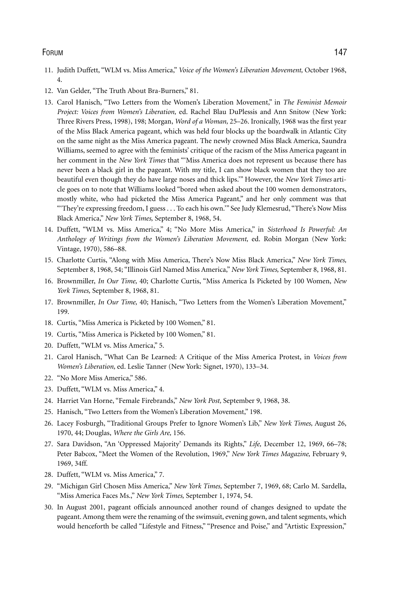- 11. Judith Duffett, "WLM vs. Miss America," *Voice of the Women's Liberation Movement,* October 1968, 4.
- 12. Van Gelder, "The Truth About Bra-Burners," 81.
- 13. Carol Hanisch, "Two Letters from the Women's Liberation Movement," in *The Feminist Memoir Project: Voices from Women's Liberation,* ed. Rachel Blau DuPlessis and Ann Snitow (New York: Three Rivers Press, 1998), 198; Morgan, *Word of a Woman,* 25–26. Ironically, 1968 was the first year of the Miss Black America pageant, which was held four blocks up the boardwalk in Atlantic City on the same night as the Miss America pageant. The newly crowned Miss Black America, Saundra Williams, seemed to agree with the feminists' critique of the racism of the Miss America pageant in her comment in the *New York Times* that "'Miss America does not represent us because there has never been a black girl in the pageant. With my title, I can show black women that they too are beautiful even though they do have large noses and thick lips.'" However, the *New York Times* article goes on to note that Williams looked "bored when asked about the 100 women demonstrators, mostly white, who had picketed the Miss America Pageant," and her only comment was that "'They're expressing freedom, I guess . . . To each his own.'" See Judy Klemesrud, "There's Now Miss Black America," *New York Times,* September 8, 1968, 54.
- 14. Duffett, "WLM vs. Miss America," 4; "No More Miss America," in *Sisterhood Is Powerful: An Anthology of Writings from the Women's Liberation Movement,* ed. Robin Morgan (New York: Vintage, 1970), 586–88.
- 15. Charlotte Curtis, "Along with Miss America, There's Now Miss Black America," *New York Times,* September 8, 1968, 54; "Illinois Girl Named Miss America," *New York Times,* September 8, 1968, 81.
- 16. Brownmiller, *In Our Time,* 40; Charlotte Curtis, "Miss America Is Picketed by 100 Women, *New York Times,* September 8, 1968, 81.
- 17. Brownmiller, *In Our Time,* 40; Hanisch, "Two Letters from the Women's Liberation Movement," 199.
- 18. Curtis, "Miss America is Picketed by 100 Women," 81.
- 19. Curtis, "Miss America is Picketed by 100 Women," 81.
- 20. Duffett, "WLM vs. Miss America," 5.
- 21. Carol Hanisch, "What Can Be Learned: A Critique of the Miss America Protest, in *Voices from Women's Liberation,* ed. Leslie Tanner (New York: Signet, 1970), 133–34.
- 22. "No More Miss America," 586.
- 23. Duffett, "WLM vs. Miss America," 4.
- 24. Harriet Van Horne, "Female Firebrands," *New York Post,* September 9, 1968, 38.
- 25. Hanisch, "Two Letters from the Women's Liberation Movement," 198.
- 26. Lacey Fosburgh, "Traditional Groups Prefer to Ignore Women's Lib," *New York Times,* August 26, 1970, 44; Douglas, *Where the Girls Are,* 156.
- 27. Sara Davidson, "An 'Oppressed Majority' Demands its Rights," *Life,* December 12, 1969, 66–78; Peter Babcox, "Meet the Women of the Revolution, 1969," *New York Times Magazine,* February 9, 1969, 34ff.
- 28. Duffett, "WLM vs. Miss America," 7.
- 29. "Michigan Girl Chosen Miss America," *New York Times,* September 7, 1969, 68; Carlo M. Sardella, "Miss America Faces Ms.," *New York Times,* September 1, 1974, 54.
- 30. In August 2001, pageant officials announced another round of changes designed to update the pageant. Among them were the renaming of the swimsuit, evening gown, and talent segments, which would henceforth be called "Lifestyle and Fitness," "Presence and Poise," and "Artistic Expression,"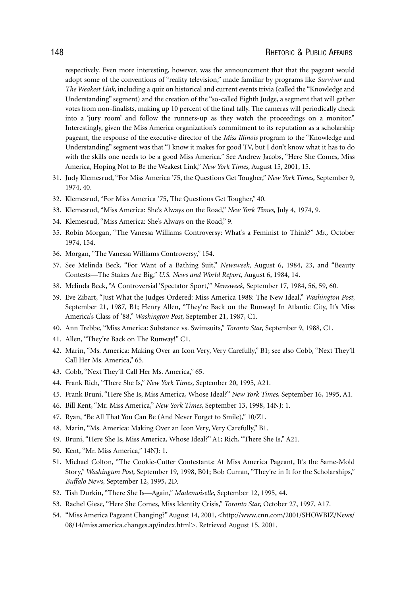#### **148 RHETORIC & PUBLIC AFFAIRS**

respectively. Even more interesting, however, was the announcement that that the pageant would adopt some of the conventions of "reality television," made familiar by programs like *Survivor* and *The Weakest Link,* including a quiz on historical and current events trivia (called the "Knowledge and Understanding" segment) and the creation of the "so-called Eighth Judge, a segment that will gather votes from non-finalists, making up 10 percent of the final tally. The cameras will periodically check into a 'jury room' and follow the runners-up as they watch the proceedings on a monitor." Interestingly, given the Miss America organization's commitment to its reputation as a scholarship pageant, the response of the executive director of the *Miss Illinois* program to the "Knowledge and Understanding" segment was that "I know it makes for good TV, but I don't know what it has to do with the skills one needs to be a good Miss America." See Andrew Jacobs, "Here She Comes, Miss America, Hoping Not to Be the Weakest Link," *New York Times,* August 15, 2001, 15.

- 31. Judy Klemesrud, "For Miss America '75, the Questions Get Tougher," *New York Times,* September 9, 1974, 40.
- 32. Klemesrud, "For Miss America '75, The Questions Get Tougher," 40.
- 33. Klemesrud, "Miss America: She's Always on the Road," *New York Times,* July 4, 1974, 9*.*
- 34. Klemesrud, "Miss America: She's Always on the Road," 9*.*
- 35. Robin Morgan, "The Vanessa Williams Controversy: What's a Feminist to Think?" *Ms.,* October 1974, 154.
- 36. Morgan, "The Vanessa Williams Controversy," 154.
- 37. See Melinda Beck, "For Want of a Bathing Suit," *Newsweek,* August 6, 1984, 23, and "Beauty Contests—The Stakes Are Big," *U.S. News and World Report,* August 6, 1984, 14.
- 38. Melinda Beck, "A Controversial 'Spectator Sport,'" *Newsweek,* September 17, 1984, 56, 59, 60.
- 39. Eve Zibart, "Just What the Judges Ordered: Miss America 1988: The New Ideal," *Washington Post,* September 21, 1987, B1; Henry Allen, "They're Back on the Runway! In Atlantic City, It's Miss America's Class of '88," *Washington Post,* September 21, 1987, C1.
- 40. Ann Trebbe, "Miss America: Substance vs. Swimsuits," *Toronto Star,* September 9, 1988, C1.
- 41. Allen, "They're Back on The Runway!" C1.
- 42. Marin, "Ms. America: Making Over an Icon Very, Very Carefully," B1; see also Cobb, "Next They'll Call Her Ms. America," 65.
- 43. Cobb, "Next They'll Call Her Ms. America," 65.
- 44. Frank Rich, "There She Is," *New York Times,* September 20, 1995, A21.
- 45. Frank Bruni, "Here She Is, Miss America, Whose Ideal?" *New York Times,* September 16, 1995, A1.
- 46. Bill Kent, "Mr. Miss America," *New York Times,* September 13, 1998, 14NJ: 1.
- 47. Ryan, "Be All That You Can Be (And Never Forget to Smile)," 10/Z1.
- 48. Marin, "Ms. America: Making Over an Icon Very, Very Carefully," B1.
- 49. Bruni, "Here She Is, Miss America, Whose Ideal?" A1; Rich, "There She Is," A21.
- 50. Kent, "Mr. Miss America," 14NJ: 1.
- 51. Michael Colton, "The Cookie-Cutter Contestants: At Miss America Pageant, It's the Same-Mold Story," *Washington Post,* September 19, 1998, B01; Bob Curran, "They're in It for the Scholarships," *Buffalo News,* September 12, 1995, 2D.
- 52. Tish Durkin, "There She Is—Again," *Mademoiselle,* September 12, 1995, 44.
- 53. Rachel Giese, "Here She Comes, Miss Identity Crisis," *Toronto Star,* October 27, 1997, A17.
- 54. "Miss America Pageant Changing?" August 14, 2001, <http://www.cnn.com/2001/SHOWBIZ/News/ 08/14/miss.america.changes.ap/index.html>. Retrieved August 15, 2001.